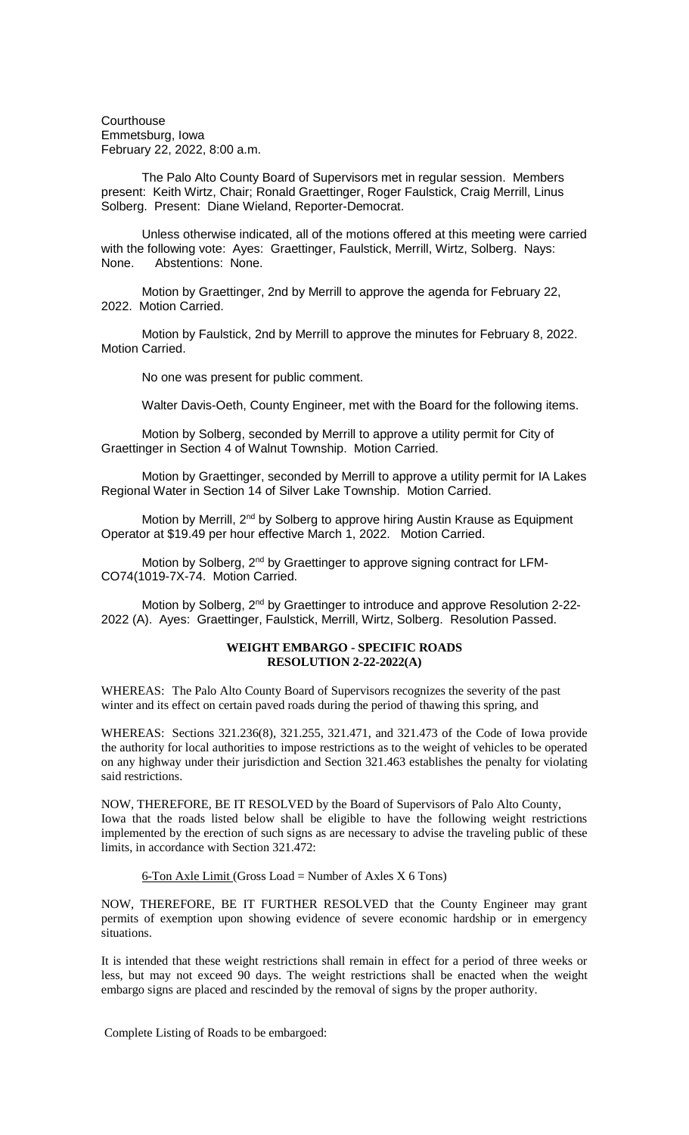**Courthouse** Emmetsburg, Iowa February 22, 2022, 8:00 a.m.

The Palo Alto County Board of Supervisors met in regular session. Members present: Keith Wirtz, Chair; Ronald Graettinger, Roger Faulstick, Craig Merrill, Linus Solberg. Present: Diane Wieland, Reporter-Democrat.

Unless otherwise indicated, all of the motions offered at this meeting were carried with the following vote: Ayes: Graettinger, Faulstick, Merrill, Wirtz, Solberg. Nays: None. Abstentions: None.

Motion by Graettinger, 2nd by Merrill to approve the agenda for February 22, 2022. Motion Carried.

Motion by Faulstick, 2nd by Merrill to approve the minutes for February 8, 2022. Motion Carried.

No one was present for public comment.

Walter Davis-Oeth, County Engineer, met with the Board for the following items.

Motion by Solberg, seconded by Merrill to approve a utility permit for City of Graettinger in Section 4 of Walnut Township. Motion Carried.

Motion by Graettinger, seconded by Merrill to approve a utility permit for IA Lakes Regional Water in Section 14 of Silver Lake Township. Motion Carried.

Motion by Merrill, 2<sup>nd</sup> by Solberg to approve hiring Austin Krause as Equipment Operator at \$19.49 per hour effective March 1, 2022. Motion Carried.

Motion by Solberg, 2<sup>nd</sup> by Graettinger to approve signing contract for LFM-CO74(1019-7X-74. Motion Carried.

Motion by Solberg, 2<sup>nd</sup> by Graettinger to introduce and approve Resolution 2-22-2022 (A). Ayes: Graettinger, Faulstick, Merrill, Wirtz, Solberg. Resolution Passed.

## **WEIGHT EMBARGO - SPECIFIC ROADS RESOLUTION 2-22-2022(A)**

WHEREAS: The Palo Alto County Board of Supervisors recognizes the severity of the past winter and its effect on certain paved roads during the period of thawing this spring, and

WHEREAS: Sections 321.236(8), 321.255, 321.471, and 321.473 of the Code of Iowa provide the authority for local authorities to impose restrictions as to the weight of vehicles to be operated on any highway under their jurisdiction and Section 321.463 establishes the penalty for violating said restrictions.

NOW, THEREFORE, BE IT RESOLVED by the Board of Supervisors of Palo Alto County, Iowa that the roads listed below shall be eligible to have the following weight restrictions implemented by the erection of such signs as are necessary to advise the traveling public of these limits, in accordance with Section 321.472:

 $6$ -Ton Axle Limit (Gross Load = Number of Axles X 6 Tons)

NOW, THEREFORE, BE IT FURTHER RESOLVED that the County Engineer may grant permits of exemption upon showing evidence of severe economic hardship or in emergency situations.

It is intended that these weight restrictions shall remain in effect for a period of three weeks or less, but may not exceed 90 days. The weight restrictions shall be enacted when the weight embargo signs are placed and rescinded by the removal of signs by the proper authority.

Complete Listing of Roads to be embargoed: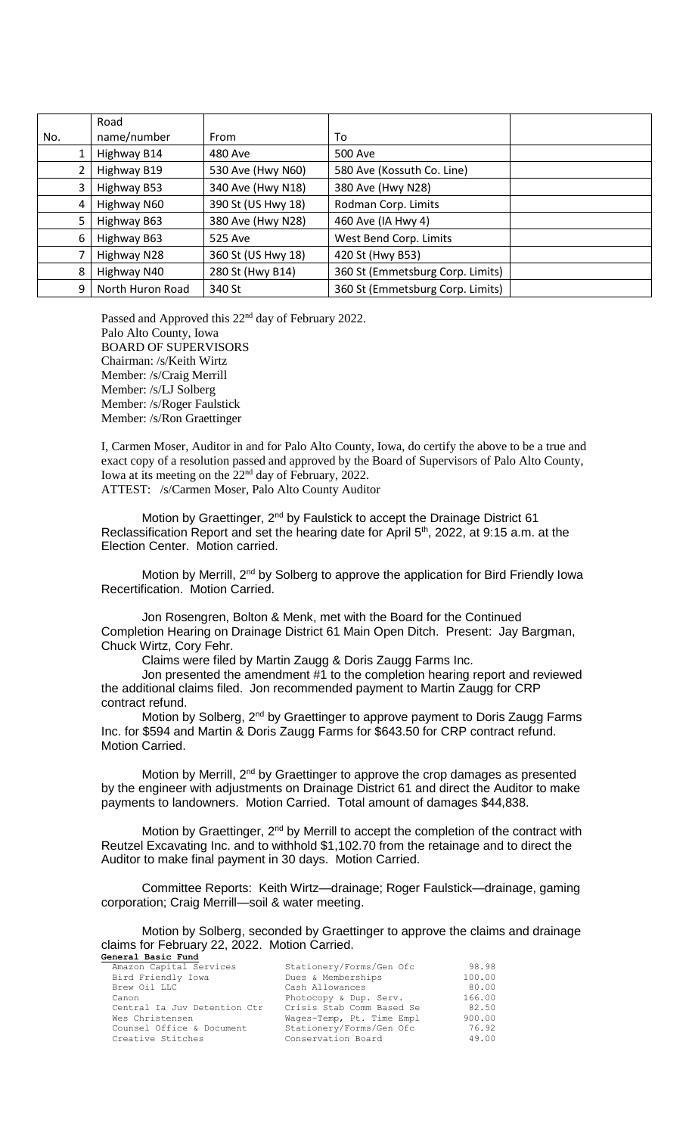|     | Road             |                    |                                  |  |
|-----|------------------|--------------------|----------------------------------|--|
| No. | name/number      | From               | To                               |  |
|     | Highway B14      | 480 Ave            | 500 Ave                          |  |
|     | Highway B19      | 530 Ave (Hwy N60)  | 580 Ave (Kossuth Co. Line)       |  |
| 3   | Highway B53      | 340 Ave (Hwy N18)  | 380 Ave (Hwy N28)                |  |
| 4   | Highway N60      | 390 St (US Hwy 18) | Rodman Corp. Limits              |  |
| 5   | Highway B63      | 380 Ave (Hwy N28)  | 460 Ave (IA Hwy 4)               |  |
| 6   | Highway B63      | 525 Ave            | West Bend Corp. Limits           |  |
|     | Highway N28      | 360 St (US Hwy 18) | 420 St (Hwy B53)                 |  |
| 8   | Highway N40      | 280 St (Hwy B14)   | 360 St (Emmetsburg Corp. Limits) |  |
| 9   | North Huron Road | 340 St             | 360 St (Emmetsburg Corp. Limits) |  |

Passed and Approved this 22<sup>nd</sup> day of February 2022. Palo Alto County, Iowa BOARD OF SUPERVISORS Chairman: /s/Keith Wirtz Member: /s/Craig Merrill Member: /s/LJ Solberg Member: /s/Roger Faulstick Member: /s/Ron Graettinger

I, Carmen Moser, Auditor in and for Palo Alto County, Iowa, do certify the above to be a true and exact copy of a resolution passed and approved by the Board of Supervisors of Palo Alto County, Iowa at its meeting on the 22nd day of February, 2022. ATTEST: /s/Carmen Moser, Palo Alto County Auditor

Motion by Graettinger, 2<sup>nd</sup> by Faulstick to accept the Drainage District 61 Reclassification Report and set the hearing date for April 5<sup>th</sup>, 2022, at 9:15 a.m. at the Election Center. Motion carried.

Motion by Merrill, 2<sup>nd</sup> by Solberg to approve the application for Bird Friendly Iowa Recertification. Motion Carried.

Jon Rosengren, Bolton & Menk, met with the Board for the Continued Completion Hearing on Drainage District 61 Main Open Ditch. Present: Jay Bargman, Chuck Wirtz, Cory Fehr.

Claims were filed by Martin Zaugg & Doris Zaugg Farms Inc.

Jon presented the amendment #1 to the completion hearing report and reviewed the additional claims filed. Jon recommended payment to Martin Zaugg for CRP contract refund.

Motion by Solberg, 2<sup>nd</sup> by Graettinger to approve payment to Doris Zaugg Farms Inc. for \$594 and Martin & Doris Zaugg Farms for \$643.50 for CRP contract refund. Motion Carried.

Motion by Merrill, 2<sup>nd</sup> by Graettinger to approve the crop damages as presented by the engineer with adjustments on Drainage District 61 and direct the Auditor to make payments to landowners. Motion Carried. Total amount of damages \$44,838.

Motion by Graettinger,  $2^{nd}$  by Merrill to accept the completion of the contract with Reutzel Excavating Inc. and to withhold \$1,102.70 from the retainage and to direct the Auditor to make final payment in 30 days. Motion Carried.

Committee Reports: Keith Wirtz—drainage; Roger Faulstick—drainage, gaming corporation; Craig Merrill—soil & water meeting.

Motion by Solberg, seconded by Graettinger to approve the claims and drainage claims for February 22, 2022. Motion Carried. **General Basic Fund**

| Amazon Capital Services      | Stationery/Forms/Gen Ofc  | 98.98  |
|------------------------------|---------------------------|--------|
| Bird Friendly Iowa           | Dues & Memberships        | 100.00 |
| Brew Oil LLC                 | Cash Allowances           | 80.00  |
| Canon                        | Photocopy & Dup. Serv.    | 166.00 |
| Central Ia Juv Detention Ctr | Crisis Stab Comm Based Se | 82.50  |
| Wes Christensen              | Wages-Temp, Pt. Time Empl | 900.00 |
| Counsel Office & Document    | Stationery/Forms/Gen Ofc  | 76.92  |
| Creative Stitches            | Conservation Board        | 49.00  |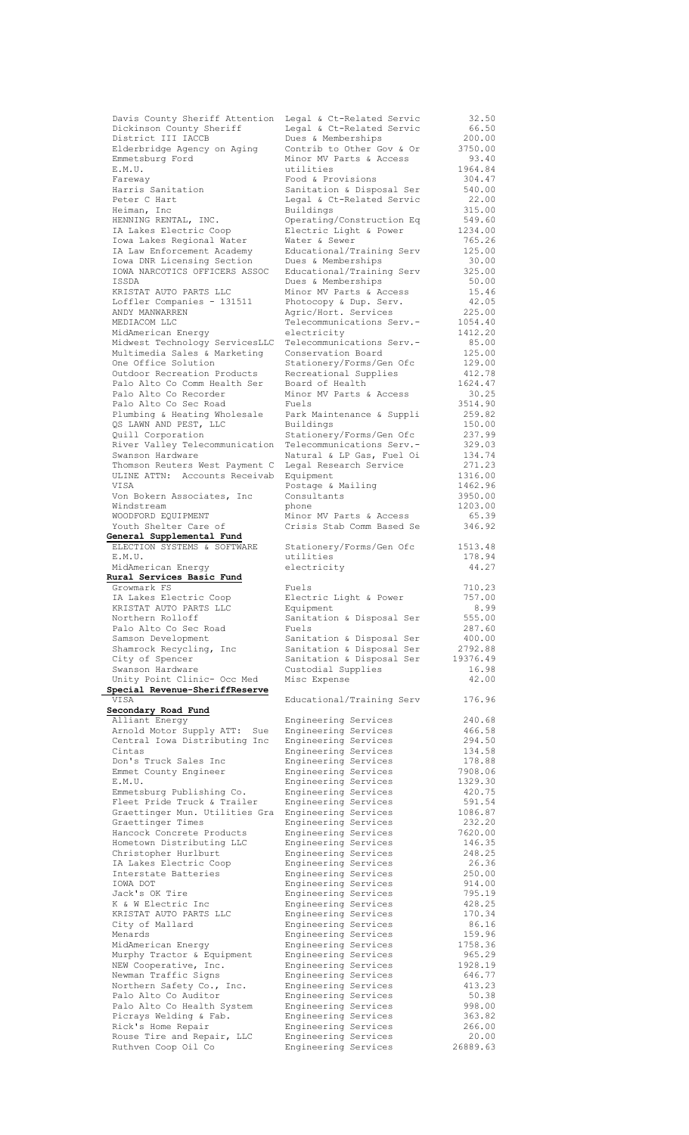| Davis County Sheriff Attention                    | Legal & Ct-Related Servic                    | 32.50             |
|---------------------------------------------------|----------------------------------------------|-------------------|
| Dickinson County Sheriff                          | Legal & Ct-Related Servic                    | 66.50             |
|                                                   |                                              |                   |
| District III IACCB                                | Dues & Memberships                           | 200.00            |
| Elderbridge Agency on Aging                       | Contrib to Other Gov & Or                    | 3750.00           |
| Emmetsburg Ford                                   | Minor MV Parts & Access                      | 93.40             |
| E.M.U.                                            | utilities                                    | 1964.84           |
|                                                   | Food & Provisions                            | 304.47            |
| Fareway                                           |                                              |                   |
| Harris Sanitation                                 | Sanitation & Disposal Ser                    | 540.00            |
| Peter C Hart                                      | Legal & Ct-Related Servic                    | 22.00             |
| Heiman, Inc                                       | Buildings                                    | 315.00            |
| HENNING RENTAL, INC.                              | Operating/Construction Eq                    | 549.60            |
|                                                   |                                              |                   |
| IA Lakes Electric Coop                            | Electric Light & Power                       | 1234.00           |
| Iowa Lakes Regional Water                         | Water & Sewer                                | 765.26            |
| IA Law Enforcement Academy                        | Educational/Training Serv                    | 125.00            |
| Iowa DNR Licensing Section                        | Dues & Memberships                           | 30.00             |
|                                                   |                                              |                   |
| IOWA NARCOTICS OFFICERS ASSOC                     | Educational/Training Serv                    | 325.00            |
| ISSDA                                             | Dues & Memberships                           | 50.00             |
| KRISTAT AUTO PARTS LLC                            | Minor MV Parts & Access                      | 15.46             |
| Loffler Companies - 131511                        | Photocopy & Dup. Serv.                       | 42.05             |
| ANDY MANWARREN                                    |                                              | 225.00            |
|                                                   | Agric/Hort. Services                         |                   |
| MEDIACOM LLC                                      | Telecommunications Serv.-                    | 1054.40           |
| MidAmerican Energy                                | electricity                                  | 1412.20           |
| Midwest Technology ServicesLLC                    | Telecommunications Serv.-                    | 85.00             |
| Multimedia Sales & Marketing                      | Conservation Board                           | 125.00            |
|                                                   |                                              |                   |
| One Office Solution                               | Stationery/Forms/Gen Ofc                     | 129.00            |
| Outdoor Recreation Products                       | Recreational Supplies                        | 412.78            |
| Palo Alto Co Comm Health Ser                      | Board of Health                              | 1624.47           |
| Palo Alto Co Recorder                             | Minor MV Parts & Access                      | 30.25             |
|                                                   |                                              |                   |
| Palo Alto Co Sec Road                             | Fuels                                        | 3514.90           |
| Plumbing & Heating Wholesale                      | Park Maintenance & Suppli                    | 259.82            |
| QS LAWN AND PEST, LLC                             | Buildings                                    | 150.00            |
| Quill Corporation                                 | Stationery/Forms/Gen Ofc                     | 237.99            |
|                                                   |                                              |                   |
| River Valley Telecommunication                    | Telecommunications Serv.-                    | 329.03            |
| Swanson Hardware                                  | Natural & LP Gas, Fuel Oi                    | 134.74            |
| Thomson Reuters West Payment C                    | Legal Research Service                       | 271.23            |
| ULINE ATTN: Accounts Receivab                     | Equipment                                    | 1316.00           |
| VISA                                              |                                              | 1462.96           |
|                                                   | Postage & Mailing                            |                   |
| Von Bokern Associates, Inc                        | Consultants                                  | 3950.00           |
| Windstream                                        | phone                                        | 1203.00           |
| WOODFORD EQUIPMENT                                | Minor MV Parts & Access                      | 65.39             |
| Youth Shelter Care of                             | Crisis Stab Comm Based Se                    | 346.92            |
|                                                   |                                              |                   |
| General Supplemental Fund                         |                                              |                   |
| ELECTION SYSTEMS & SOFTWARE                       | Stationery/Forms/Gen Ofc                     | 1513.48           |
| E.M.U.                                            | utilities                                    | 178.94            |
| MidAmerican Energy                                | electricity                                  | 44.27             |
|                                                   |                                              |                   |
|                                                   |                                              |                   |
| Rural Services Basic Fund                         |                                              |                   |
| Growmark FS                                       | Fuels                                        | 710.23            |
| IA Lakes Electric Coop                            | Electric Light & Power                       | 757.00            |
|                                                   |                                              |                   |
| KRISTAT AUTO PARTS LLC                            | Equipment                                    | 8.99              |
| Northern Rolloff                                  | Sanitation & Disposal Ser                    | 555.00            |
| Palo Alto Co Sec Road                             | Fuels                                        | 287.60            |
| Samson Development                                | Sanitation & Disposal Ser                    | 400.00            |
|                                                   |                                              |                   |
| Shamrock Recycling, Inc                           | Sanitation & Disposal Ser                    | 2792.88           |
| City of Spencer                                   | Sanitation & Disposal Ser                    | 19376.49          |
| Swanson Hardware                                  | Custodial Supplies                           | 16.98             |
| Unity Point Clinic- Occ Med                       | Misc Expense                                 | 42.00             |
|                                                   |                                              |                   |
| Special Revenue-SheriffReserve                    |                                              |                   |
| VISA                                              | Educational/Training Serv                    | 176.96            |
| Secondary Road Fund                               |                                              |                   |
| Alliant Energy                                    | Engineering Services                         | 240.68            |
| Arnold Motor Supply ATT:<br>Sue                   | Engineering Services                         | 466.58            |
| Central Iowa Distributing Inc                     |                                              | 294.50            |
|                                                   | Engineering Services                         |                   |
| Cintas                                            | Engineering Services                         | 134.58            |
| Don's Truck Sales Inc                             | Engineering Services                         | 178.88            |
| Emmet County Engineer                             | Engineering Services                         | 7908.06           |
| E.M.U.                                            | Engineering Services                         | 1329.30           |
| Emmetsburg Publishing Co.                         | Engineering Services                         | 420.75            |
|                                                   |                                              |                   |
| Fleet Pride Truck & Trailer                       | Engineering Services                         | 591.54            |
| Graettinger Mun. Utilities Gra                    | Engineering Services                         | 1086.87           |
| Graettinger Times                                 | Engineering Services                         | 232.20            |
| Hancock Concrete Products                         | Engineering Services                         | 7620.00           |
|                                                   |                                              |                   |
| Hometown Distributing LLC                         | Engineering Services                         | 146.35            |
| Christopher Hurlburt                              | Engineering Services                         | 248.25            |
| IA Lakes Electric Coop                            | Engineering Services                         | 26.36             |
| Interstate Batteries                              | Engineering Services                         | 250.00            |
| IOWA DOT                                          |                                              |                   |
|                                                   | Engineering Services                         | 914.00            |
| Jack's OK Tire                                    | Engineering Services                         | 795.19            |
| K & W Electric Inc                                | Engineering Services                         | 428.25            |
| KRISTAT AUTO PARTS LLC                            | Engineering Services                         | 170.34            |
| City of Mallard                                   | Engineering Services                         | 86.16             |
|                                                   |                                              |                   |
| Menards                                           | Engineering Services                         | 159.96            |
| MidAmerican Energy                                | Engineering Services                         | 1758.36           |
| Murphy Tractor & Equipment                        | Engineering Services                         | 965.29            |
| NEW Cooperative, Inc.                             | Engineering Services                         | 1928.19           |
|                                                   |                                              |                   |
| Newman Traffic Signs                              | Engineering Services                         | 646.77            |
| Northern Safety Co., Inc.                         | Engineering Services                         | 413.23            |
| Palo Alto Co Auditor                              | Engineering Services                         | 50.38             |
| Palo Alto Co Health System                        | Engineering Services                         | 998.00            |
| Picrays Welding & Fab.                            | Engineering Services                         | 363.82            |
|                                                   |                                              |                   |
| Rick's Home Repair                                | Engineering Services                         | 266.00            |
| Rouse Tire and Repair, LLC<br>Ruthven Coop Oil Co | Engineering Services<br>Engineering Services | 20.00<br>26889.63 |